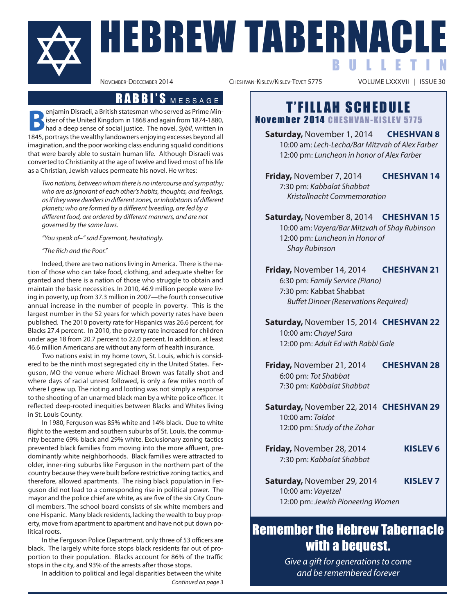REW TABERNACLE B U L L E T I N

VOLUME LXXXVII | ISSUE 30

**Benjamin Disraeli, a British statesman who served as Prime Min-**<br> **had a deep sense of social justice.** The novel, Sybil, written in<br>
1845 pertaxy the wealthy landowners opioning avecsess beyond all ister of the United Kingdom in 1868 and again from 1874-1880, 1845, portrays the wealthy landowners enjoying excesses beyond all imagination, and the poor working class enduring squalid conditions that were barely able to sustain human life. although Disraeli was converted to christianity at the age of twelve and lived most of his life as a christian, Jewish values permeate his novel. he writes:

Two nations, between whom there is no intercourse and sympathy; who are as ignorant of each other's habits, thoughts, and feelings, as if they were dwellers in different zones, or inhabitants of different planets; who are formed by a different breeding, are fed by a different food, are ordered by different manners, and are not governed by the same laws.

"You speak of–" said Egremont, hesitatingly.

#### "The Rich and the Poor."

Indeed, there are two nations living in America. There is the nation of those who can take food, clothing, and adequate shelter for granted and there is a nation of those who struggle to obtain and maintain the basic necessities. in 2010, 46.9 million people were living in poverty, up from 37.3 million in 2007—the fourth consecutive annual increase in the number of people in poverty. This is the largest number in the 52 years for which poverty rates have been published. The 2010 poverty rate for hispanics was 26.6 percent, for blacks 27.4 percent. in 2010, the poverty rate increased for children under age 18 from 20.7 percent to 22.0 percent. in addition, at least 46.6 million Americans are without any form of health insurance.

Two nations exist in my home town, St. louis, which is considered to be the ninth most segregated city in the United States. Ferguson, mo the venue where michael brown was fatally shot and where days of racial unrest followed, is only a few miles north of where I grew up. The rioting and looting was not simply a response to the shooting of an unarmed black man by a white police officer. it reflected deep-rooted inequities between blacks and Whites living in St. louis county.

in 1980, Ferguson was 85% white and 14% black. Due to white flight to the western and southern suburbs of St. louis, the community became 69% black and 29% white. Exclusionary zoning tactics prevented black families from moving into the more affluent, predominantly white neighborhoods. black families were attracted to older, inner-ring suburbs like Ferguson in the northern part of the country because they were built before restrictive zoning tactics, and therefore, allowed apartments. The rising black population in Ferguson did not lead to a corresponding rise in political power. The mayor and the police chief are white, as are five of the six city council members. The school board consists of six white members and one Hispanic. Many black residents, lacking the wealth to buy property, move from apartment to apartment and have not put down political roots.

In the Ferguson Police Department, only three of 53 officers are black. The largely white force stops black residents far out of proportion to their population. blacks account for 86% of the traffic stops in the city, and 93% of the arrests after those stops.

in addition to political and legal disparities between the white

Continued on page 3

**R A B B I'S** M E S S A G E **T'FILLAH SCHEDULE** November 2014 CHESHVAN-KISLEV 5775

> **Saturday,** November 1, 2014 **cheShvan 8** 10:00 am: Lech-Lecha/Bar Mitzvah of Alex Farber 12:00 pm: Luncheon in honor of Alex Farber

> **Friday,** November 7, 2014 **cheShvan 14** 7:30 pm: Kabbalat Shabbat Kristallnacht Commemoration

> **Saturday,** November 8, 2014 **cheShvan 15** 10:00 am: Vayera/Bar Mitzvah of Shay Rubinson 12:00 pm: Luncheon in Honor of Shay Rubinson

> **Friday,** November 14, 2014 **cheShvan 21** 6:30 pm: Family Service (Piano) 7:30 pm: Kabbat Shabbat Buffet Dinner (Reservations Required)

> **Saturday,** November 15, 2014 **cheShvan 22** 10:00 am: Chayel Sara 12:00 pm: Adult Ed with Rabbi Gale

> **Friday,** November 21, 2014 **cheShvan 28**  6:00 pm: Tot Shabbat 7:30 pm: Kabbalat Shabbat

> **Saturday,** November 22, 2014 **cheShvan 29** 10:00 am: Toldot 12:00 pm: Study of the Zohar

- **Friday,** November 28, 2014 **kiSlev 6** 7:30 pm: Kabbalat Shabbat
- **Saturday,** November 29, 2014 **kiSlev 7** 10:00 am: Vayetzel 12:00 pm: Jewish Pioneering Women

## Remember the Hebrew Tabernacle with a bequest.

Give a gift for generations to come and be remembered forever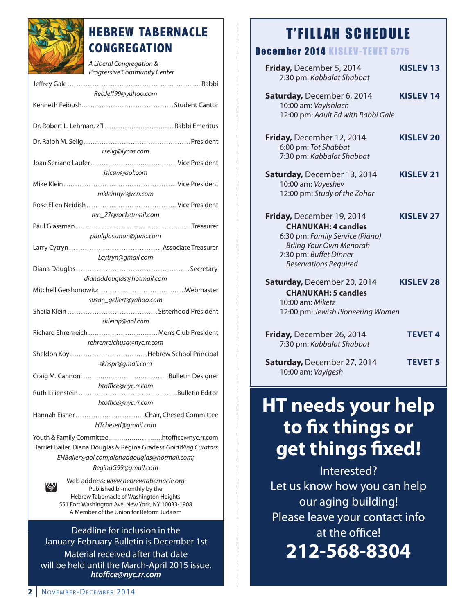

## **HEBREW TABERNACLE CONGREGATION**

A Liberal Congregation & Progressive Community Center Jeffrey Gale . . . . . . . . . . . . . . . . . . . . . . . . . . . . . . . . . . . . . . . . . . . . . . . . . . . . . . . . . . . rabbi RebJeff99@yahoo.com Kenneth Feibush. . . . . . . . . . . . . . . . . . . . . . . . . . . . . . . . . . . . . . . . . Student cantor Dr. robert l. lehman, z"l . . . . . . . . . . . . . . . . . . . . . . . . . . . . . . . rabbi emeritus Dr. ralph m. Selig . . . . . . . . . . . . . . . . . . . . . . . . . . . . . . . . . . . . . . . . . . . . . . . . President rselig@lycos.com Joan Serrano laufer. . . . . . . . . . . . . . . . . . . . . . . . . . . . . . . . . . . . . . . . vice President jslcsw@aol.com mike Klein . . . . . . . . . . . . . . . . . . . . . . . . . . . . . . . . . . . . . . . . . . . . . . . . . . vice President mkleinnyc@rcn .com rose ellen Neidish . . . . . . . . . . . . . . . . . . . . . . . . . . . . . . . . . . . . . . . . vice President ren\_27@rocketmail.com Paul Glassman . . . . . . . . . . . . . . . . . . . . . . . . . . . . . . . . . . . . . . . . . . . . . . . . . . . . Treasurer paulglassman@juno.com larry cytryn . . . . . . . . . . . . . . . . . . . . . . . . . . . . . . . . . . . . . . . . . associate Treasurer Lcytryn@gmail.com Diana Douglas. . . . . . . . . . . . . . . . . . . . . . . . . . . . . . . . . . . . . . . . . . . . . . . . . . Secretary dianaddouglas@hotmail.com mitchell Gershonowitz . . . . . . . . . . . . . . . . . . . . . . . . . . . . . . . . . . . . . . .Webmaster susan\_gellert@yahoo.com Sheila Klein . . . . . . . . . . . . . . . . . . . . . . . . . . . . . . . . . . . . . . . . Sisterhood President skleinp@aol.com richard ehrenreich . . . . . . . . . . . . . . . . . . . . . . . . . . . . . . . . men's club President rehrenreichusa@nyc.rr.com Sheldon Koy . . . . . . . . . . . . . . . . . . . . . . . . . . . . . . . . . . . hebrew School Principal skhspr@gmail.com craig m. cannon . . . . . . . . . . . . . . . . . . . . . . . . . . . . . . . . . . . . . . . . . bulletin Designer htoffice@nyc.rr.com ruth lilienstein . . . . . . . . . . . . . . . . . . . . . . . . . . . . . . . . . . . . . . . . . . . .bulletin editor htoffice@nyc.rr.com hannah eisner. . . . . . . . . . . . . . . . . . . . . . . . . . . . . . . chair, chesed committee HTchesed@gmail.com Youth & Family committee . . . . . . . . . . . . . . . . . . . . . . . . . .htoffice@nyc.rr.com Harriet Bailer, Diana Douglas & Regina Gradess GoldWing Curators EHBailer@aol.com;dianaddouglas@hotmail.com; ReginaG99@gmail.com Web address: www.hebrewtabernacle.org

Published bi-monthly by the hebrew Tabernacle of Washington heights 551 Fort Washington ave. New York, NY 10033-1908 A Member of the Union for Reform Judaism

Deadline for inclusion in the January-February bulletin is December 1st material received after that date will be held until the March-April 2015 issue. *htoffice@nyc.rr.com*

#### December 2014 KISLEV-TEVET 5775

| Friday, December 5, 2014<br>7:30 pm: Kabbalat Shabbat                                                                                                                                  | <b>KISLEV13</b>  |
|----------------------------------------------------------------------------------------------------------------------------------------------------------------------------------------|------------------|
| Saturday, December 6, 2014<br>10:00 am: Vayishlach<br>12:00 pm: Adult Ed with Rabbi Gale                                                                                               | <b>KISLEV 14</b> |
| Friday, December 12, 2014<br>6:00 pm: Tot Shabbat<br>7:30 pm: Kabbalat Shabbat                                                                                                         | <b>KISLEV 20</b> |
| Saturday, December 13, 2014<br>10:00 am: Vayeshev<br>12:00 pm: Study of the Zohar                                                                                                      | <b>KISLEV 21</b> |
| Friday, December 19, 2014<br><b>CHANUKAH: 4 candles</b><br>6:30 pm: Family Service (Piano)<br><b>Briing Your Own Menorah</b><br>7:30 pm: Buffet Dinner<br><b>Reservations Required</b> | <b>KISLEV 27</b> |
| Saturday, December 20, 2014<br><b>CHANUKAH: 5 candles</b><br>10:00 am: Miketz<br>12:00 pm: Jewish Pioneering Women                                                                     | <b>KISLEV 28</b> |
| Friday, December 26, 2014<br>7:30 pm: Kabbalat Shabbat                                                                                                                                 | <b>TEVET4</b>    |
| Saturday, December 27, 2014<br>10:00 am: Vayigesh                                                                                                                                      | <b>TEVET 5</b>   |

# **hT needs your help to fix things or get things fixed!**

interested? Let us know how you can help our aging building! Please leave your contact info at the office!

**212-568-8304**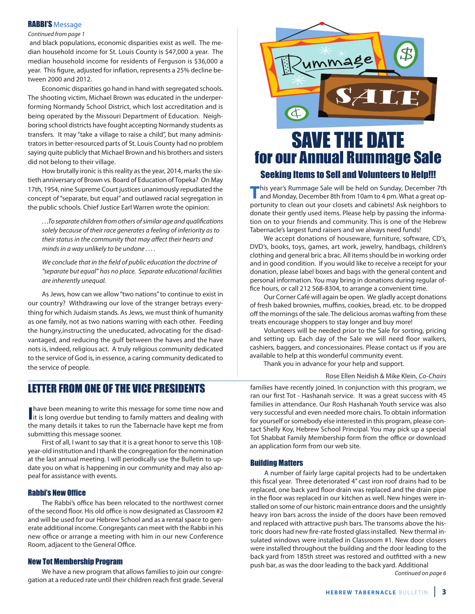#### RABBI'S Message

#### Continued from page 1

and black populations, economic disparities exist as well. The median household income for St. louis county is \$47,000 a year. The median household income for residents of Ferguson is \$36,000 a year. This figure, adjusted for inflation, represents a 25% decline between 2000 and 2012.

Economic disparities go hand in hand with segregated schools. The shooting victim, Michael Brown was educated in the underperforming Normandy School District, which lost accreditation and is being operated by the Missouri Department of Education. Neighboring school districts have fought accepting Normandy students as transfers. it may "take a village to raise a child", but many administrators in better-resourced parts of St. louis county had no problem saying quite publicly that Michael Brown and his brothers and sisters did not belong to their village.

how brutally ironic is this reality as the year, 2014, marks the sixtieth anniversary of Brown vs. Board of Education of Topeka? On May 17th, 1954, nine Supreme court justices unanimously repudiated the concept of "separate, but equal" and outlawed racial segregation in the public schools. Chief Justice Earl Warren wrote the opinion:

. . .To separate children from others of similar age and qualifications solely because of their race generates a feeling of inferiority as to their status in the community that may affect their hearts and minds in a way unlikely to be undone . . . .

We conclude that in the field of public education the doctrine of "separate but equal" has no place. Separate educational facilities are inherently unequal.

as Jews, how can we allow "two nations" to continue to exist in our country? Withdrawing our love of the stranger betrays everything for which Judaism stands. As Jews, we must think of humanity as one family, not as two nations warring with each other. Feeding the hungry,instructing the uneducated, advocating for the disadvantaged, and reducing the gulf between the haves and the have nots is, indeed, religious act. a truly religious community dedicated to the service of God is, in essence, a caring community dedicated to the service of people.

### LETTER FROM ONE OF THE VICE PRESIDENTS

**have been meaning to write this message for some time now and<br>it is long overdue but tending to family matters and dealing with** have been meaning to write this message for some time now and the many details it takes to run the Tabernacle have kept me from submitting this message sooner.

First of all, I want to say that it is a great honor to serve this 108year-old institution and i thank the congregation for the nomination at the last annual meeting. I will periodically use the Bulletin to update you on what is happening in our community and may also appeal for assistance with events.

#### Rabbi's New Office

The Rabbi's office has been relocated to the northwest corner of the second floor. His old office is now designated as Classroom #2 and will be used for our Hebrew School and as a rental space to generate additional income. Congregants can meet with the Rabbi in his new office or arrange a meeting with him in our new conference Room, adjacent to the General Office.

#### New Tot Membership Program

We have a new program that allows families to join our congregation at a reduced rate until their children reach first grade. Several



## SAVE THE DATE for our Annual Rummage Sale

#### Seeking Items to Sell and Volunteers to Help!!!

**This year's Rummage Sale will be held on Sunday, December 7th**<br>and Monday, December 8th from 10am to 4 pm. What a great opportunity to clean out your closets and cabinets! Ask neighbors to donate their gently used items. Please help by passing the information on to your friends and community. This is one of the hebrew Tabernacle's largest fund raisers and we always need funds!

We accept donations of houseware, furniture, software, cD's, DvD's, books, toys, games, art work, jewelry, handbags, children's clothing and general bric a brac. all items should be in working order and in good condition. if you would like to receive a receipt for your donation, please label boxes and bags with the general content and personal information. You may bring in donations during regular office hours, or call 212 568-8304, to arrange a convenient time.

our corner café will again be open. We gladly accept donations of fresh baked brownies, muffins, cookies, bread, etc. to be dropped off the mornings of the sale. The delicious aromas wafting from these treats encourage shoppers to stay longer and buy more!

volunteers will be needed prior to the Sale for sorting, pricing and setting up. Each day of the Sale we will need floor walkers, cashiers, baggers, and concessionaires. Please contact us if you are available to help at this wonderful community event.

Thank you in advance for your help and support.

#### Rose Ellen Neidish & Mike Klein, Co-Chairs

families have recently joined. in conjunction with this program, we ran our first Tot - Hashanah service. It was a great success with 45 families in attendance. Our Rosh Hashanah Youth service was also very successful and even needed more chairs. To obtain information for yourself or somebody else interested in this program, please contact Shelly Koy, hebrew School Principal. You may pick up a special Tot Shabbat Family Membership form from the office or download an application form from our web site.

#### Building Matters

a number of fairly large capital projects had to be undertaken this fiscal year. Three deteriorated 4" cast iron roof drains had to be replaced, one back yard floor drain was replaced and the drain pipe in the floor was replaced in our kitchen as well. New hinges were installed on some of our historic main entrance doors and the unsightly heavy iron bars across the inside of the doors have been removed and replaced with attractive push bars. The transoms above the historic doors had new fire-rate frosted glass installed. New thermal insulated windows were installed in classroom #1. New door closers were installed throughout the building and the door leading to the back yard from 185th street was restored and outfitted with a new push bar, as was the door leading to the back yard. Additional Continued on page 6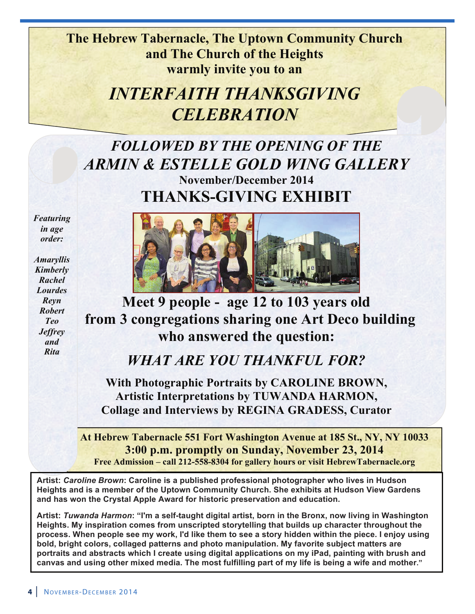**The Hebrew Tabernacle, The Uptown Community Church and The Church of the Heights warmly invite you to an**

## *INTERFAITH THANKSGIVING CELEBRATION*

## *FOLLOWED BY THE OPENING OF THE ARMIN & ESTELLE GOLD WING GALLERY* **November/December 2014 THANKS-GIVING EXHIBIT**

*Featuring in age order:*

*Amaryllis Kimberly Rachel Lourdes Reyn Robert Teo Jeffrey and Rita*



**Meet 9 people - age 12 to 103 years old from 3 congregations sharing one Art Deco building who answered the question:**

## *WHAT ARE YOU THANKFUL FOR?*

**With Photographic Portraits by CAROLINE BROWN, Artistic Interpretations by TUWANDA HARMON, Collage and Interviews by REGINA GRADESS, Curator**

**At Hebrew Tabernacle 551 Fort Washington Avenue at 185 St., NY, NY 10033 3:00 p.m. promptly on Sunday, November 23, 2014 Free Admission – call 212-558-8304 for gallery hours or visit HebrewTabernacle.org**

**Artist:** *Caroline Brown***: Caroline is a published professional photographer who lives in Hudson Heights and is a member of the Uptown Community Church. She exhibits at Hudson View Gardens and has won the Crystal Apple Award for historic preservation and education.**

**Artist:** *Tuwanda Harmon***: "I'm a self-taught digital artist, born in the Bronx, now living in Washington Heights. My inspiration comes from unscripted storytelling that builds up character throughout the process. When people see my work, I'd like them to see a story hidden within the piece. I enjoy using bold, bright colors, collaged patterns and photo manipulation. My favorite subject matters are portraits and abstracts which I create using digital applications on my iPad, painting with brush and canvas and using other mixed media. The most fulfilling part of my life is being a wife and mother."**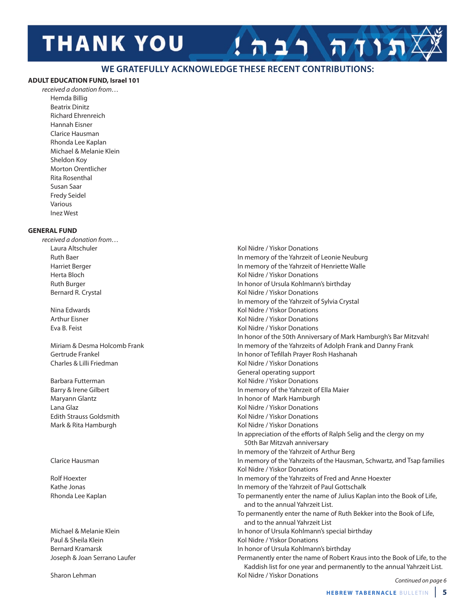# **THANK YOU**

#### **WE GRATEFULLY ACKNOWLEDGE THESE RECENT CONTRIBUTIONS:**

#### **aDUlT eDUcaTiOn FUnD, israel 101**

received a donation from… hemda billig beatrix Dinitz Richard Ehrenreich Hannah Eisner clarice hausman rhonda lee Kaplan michael & melanie Klein Sheldon Koy Morton Orentlicher Rita Rosenthal Susan Saar Fredy Seidel various inez West

#### **General FUnD**

received a donation from…

Charles & Lilli Friedman Charles & Lilli Friedman

Paul & Sheila Klein **Kollary Accord Contract Contract Contract Contract Contract Contract Contract Contract Contract Contract Contract Contract Contract Contract Contract Contract Contract Contract Contract Contract Contra** 

Sharon Lehman Kol Nidre / Yiskor Donations

laura altschuler Kol Nidre / Yiskor Donations Ruth Baer in memory of the Yahrzeit of Leonie Neuburg harriet berger in memory of the Yahrzeit of henriette Walle herta bloch Kol Nidre / Yiskor Donations ruth burger in honor of ursula Kohlmann's birthday Bernard R. Crystal **Kollands** Crystal Kol Nidre / Yiskor Donations in memory of the Yahrzeit of Sylvia crystal Nina edwards Kol Nidre / Yiskor Donations arthur eisner Kol Nidre / Yiskor Donations eva b. Feist Kol Nidre / Yiskor Donations In honor of the 50th Anniversary of Mark Hamburgh's Bar Mitzvah! miriam & Desma holcomb Frank in memory of the Yahrzeits of adolph Frank and Danny Frank Gertrude Frankel in honor of Tefillah Prayer Rosh Hashanah General operating support Barbara Futterman Theorem Communications of the Middle Mondon Kol Nidre / Yiskor Donations barry & irene Gilbert in memory of the Yahrzeit of ella maier maryann Glantz in honor of Mark Hamburgh in honor of Mark Hamburgh lana Glaz Kol Nidre / Yiskor Donations edith Strauss Goldsmith Kol Nidre / Yiskor Donations Mark & Rita Hamburgh **Kol Nidre / Yiskor Donations** Kol Nidre / Yiskor Donations In appreciation of the efforts of Ralph Selig and the clergy on my 50th bar mitzvah anniversary In memory of the Yahrzeit of Arthur Berg clarice hausman in memory of the Yahrzeits of the hausman, Schwartz, and Tsap families Kol Nidre / Yiskor Donations Rolf Hoexter **in the Value of the Yahrzeits of Fred and Anne Hoexter in memory of the Yahrzeits of Fred and Anne Hoexter** Kathe Jonas **in the Value Community of the Yahrzeit of Paul Gottschalk in memory of the Yahrzeit of Paul Gottschalk** Rhonda Lee Kaplan To permanently enter the name of Julius Kaplan into the Book of Life, and to the annual Yahrzeit list. To permanently enter the name of Ruth Bekker into the Book of Life, and to the annual Yahrzeit list michael & melanie Klein in honor of ursula Kohlmann's special birthday bernard Kramarsk in honor of ursula Kohlmann's birthday Joseph & Joan Serrano Laufer **Permanently enter the name of Robert Kraus into the Book of Life**, to the Kaddish list for one year and permanently to the annual Yahrzeit list.

תוחה רב

Continued on page 6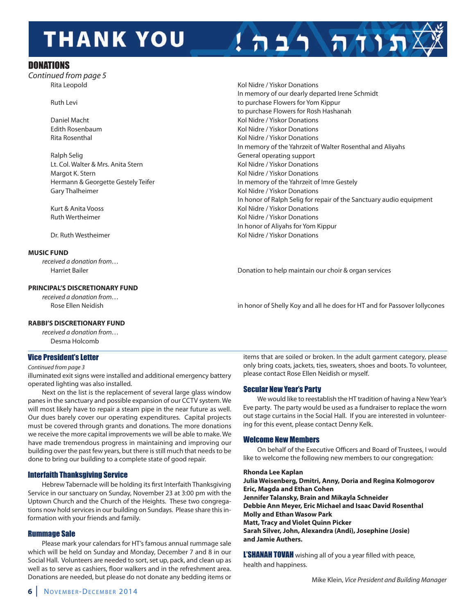# **THANK YOU**

#### **DONATIONS**

Continued from page 5<br>Rita Leopold

**Ralph Selig General operating support** General operating support Lt. Col. Walter & Mrs. Anita Stern Kolley Anita Stern Kol Nidre / Yiskor Donations Margot K. Stern Kol Nidre / Yiskor Donations Gary Thalheimer **Kollandia and The Control Control** Kol Nidre / Yiskor Donations

#### **MUSic FUnD**

received a donation from…

#### **PrinciPal'S DiScreTiOnarY FUnD**

received a donation from…

### Kol Nidre / Yiskor Donations in memory of our dearly departed irene Schmidt Ruth Levi **ruth levilled ruth levilled ruth as a controlled by the purchase Flowers for Yom Kippur** to purchase Flowers for Rosh Hashanah Daniel macht Kol Nidre / Yiskor Donations edith rosenbaum Kol Nidre / Yiskor Donations Rita Rosenthal **Rita Rosenthal** Communist Rise of the Middle Communist Rise of the Middle *Kol Nidre / Yiskor Donations* In memory of the Yahrzeit of Walter Rosenthal and Aliyahs hermann & Georgette Gestely Teifer in memory of the Yahrzeit of imre Gestely In honor of Ralph Selig for repair of the Sanctuary audio equipment Kurt & Anita Vooss **Kollandisch Schwarter (Kollandischer Wisc**hoff Viskor Donations ruth Wertheimer Kol Nidre / Yiskor Donations in honor of aliyahs for Yom Kippur Dr. Ruth Westheimer Theory of Theory and Theory Kol Nidre / Yiskor Donations

הווה רבה!

harriet bailer Donation to help maintain our choir & organ services

Rose Ellen Neidish in honor of Shelly Koy and all he does for HT and for Passover lollycones

#### **raBBi'S DiScreTiOnarY FUnD**

received a donation from… Desma Holcomb

#### Vice President's Letter

#### Continued from page 3

illuminated exit signs were installed and additional emergency battery operated lighting was also installed.

Next on the list is the replacement of several large glass window panes in the sanctuary and possible expansion of our ccTv system. We will most likely have to repair a steam pipe in the near future as well. Our dues barely cover our operating expenditures. Capital projects must be covered through grants and donations. The more donations we receive the more capital improvements we will be able to make. We have made tremendous progress in maintaining and improving our building over the past few years, but there is still much that needs to be done to bring our building to a complete state of good repair.

#### Interfaith Thanksgiving Service

hebrew Tabernacle will be holding its first interfaith Thanksgiving Service in our sanctuary on Sunday, November 23 at 3:00 pm with the uptown church and the church of the heights. These two congregations now hold services in our building on Sundays. Please share this information with your friends and family.

#### Rummage Sale

Please mark your calendars for HT's famous annual rummage sale which will be held on Sunday and Monday, December 7 and 8 in our Social hall. volunteers are needed to sort, set up, pack, and clean up as well as to serve as cashiers, floor walkers and in the refreshment area. Donations are needed, but please do not donate any bedding items or

items that are soiled or broken. in the adult garment category, please only bring coats, jackets, ties, sweaters, shoes and boots. To volunteer, please contact Rose Ellen Neidish or myself.

#### Secular New Year's Party

We would like to reestablish the hT tradition of having a New Year's Eve party. The party would be used as a fundraiser to replace the worn out stage curtains in the Social hall. if you are interested in volunteering for this event, please contact Denny Kelk.

#### Welcome New Members

On behalf of the Executive Officers and Board of Trustees, I would like to welcome the following new members to our congregation:

#### **rhonda lee kaplan**

**Julia Weisenberg, Dmitri, Anny, Doria and Regina Kolmogorov eric, Magda and ethan cohen Jennifer Talansky, Brain and Mikayla Schneider Debbie Ann Mever, Eric Michael and Isaac David Rosenthal Molly and ethan wasow Park Matt, Tracy and violet Quinn Picker Sarah Silver, John, alexandra (andi), Josephine (Josie) and Jamie authers.** 

L'SHANAH TOVAH wishing all of you a year filled with peace, health and happiness.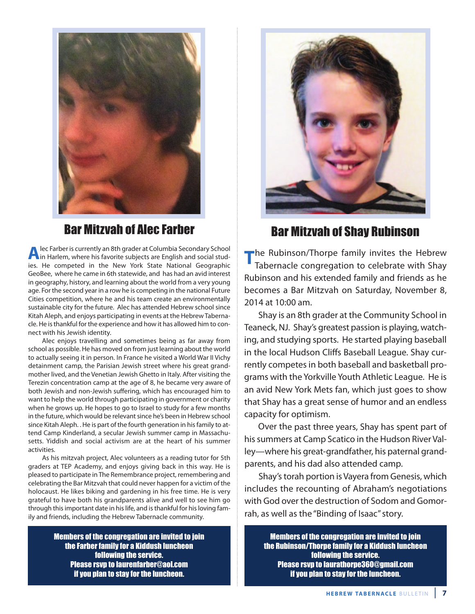

## Bar Mitzvah of Alec Farber Bar Mitzvah of Shay Rubinson

**Alec Farber is currently an 8th grader at Columbia Secondary School<br>in Harlem, where his favorite subjects are English and social stud**ies. he competed in the New York State National Geographic Geobee, where he came in 6th statewide, and has had an avid interest in geography, history, and learning about the world from a very young age. For the second year in a row he is competing in the national Future cities competition, where he and his team create an environmentally sustainable city for the future. Alec has attended Hebrew school since Kitah Aleph, and enjoys participating in events at the Hebrew Tabernacle. he is thankful for the experience and how it has allowed him to connect with his Jewish identity.

alec enjoys travelling and sometimes being as far away from school as possible. he has moved on from just learning about the world to actually seeing it in person. In France he visited a World War II Vichy detainment camp, the Parisian Jewish street where his great grandmother lived, and the Venetian Jewish Ghetto in Italy. After visiting the Terezin concentration camp at the age of 8, he became very aware of both Jewish and non-Jewish suffering, which has encouraged him to want to help the world through participating in government or charity when he grows up. He hopes to go to Israel to study for a few months in the future, which would be relevant since he's been in hebrew school since Kitah Aleph. . He is part of the fourth generation in his family to attend camp Kinderland, a secular Jewish summer camp in massachusetts. Yiddish and social activism are at the heart of his summer activities.

As his mitzvah project, Alec volunteers as a reading tutor for 5th graders at TEP Academy, and enjoys giving back in this way. He is pleased to participate in The Remembrance project, remembering and celebrating the bar mitzvah that could never happen for a victim of the holocaust. He likes biking and gardening in his free time. He is very grateful to have both his grandparents alive and well to see him go through this important date in his life, and is thankful for his loving family and friends, including the hebrew Tabernacle community.

> Members of the congregation are invited to join the Farber family for a Kiddush luncheon following the service. Please rsvp to laurenfarber@aol.com if you plan to stay for the luncheon.



The Rubinson/Thorpe family invites the Hebrew Tabernacle congregation to celebrate with Shay Rubinson and his extended family and friends as he becomes a bar mitzvah on Saturday, November 8, 2014 at 10:00 am.

Shay is an 8th grader at the community School in Teaneck, NJ. Shay's greatest passion is playing, watching, and studying sports. he started playing baseball in the local Hudson Cliffs Baseball League. Shay currently competes in both baseball and basketball programs with the Yorkville Youth athletic league. he is an avid New York mets fan, which just goes to show that Shay has a great sense of humor and an endless capacity for optimism.

Over the past three years, Shay has spent part of his summers at Camp Scatico in the Hudson River Valley—where his great-grandfather, his paternal grandparents, and his dad also attended camp.

Shay's torah portion is vayera from Genesis, which includes the recounting of abraham's negotiations with God over the destruction of Sodom and Gomorrah, as well as the "Binding of Isaac" story.

Members of the congregation are invited to join the Rubinson/Thorpe family for a Kiddush luncheon following the service. Please rsvp to laurathorpe360@gmail.com if you plan to stay for the luncheon.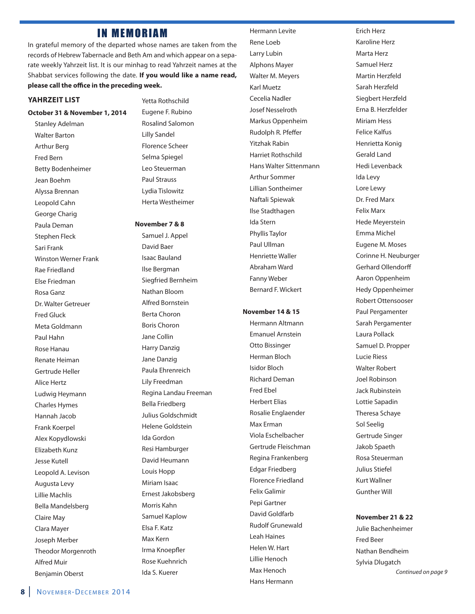### **IN MEMORIAM**

in grateful memory of the departed whose names are taken from the records of Hebrew Tabernacle and Beth Am and which appear on a separate weekly Yahrzeit list. it is our minhag to read Yahrzeit names at the Shabbat services following the date. **if you would like a name read, please call the office in the preceding week.**

#### **YahrzeiT liST**

#### **October 31 & november 1, 2014**

Stanley Adelman Walter Barton **Arthur Berg** Fred bern betty bodenheimer Jean boehm alyssa brennan leopold cahn George charig Paula Deman Stephen Fleck Sari Frank Winston Werner Frank Rae Friedland Flse Friedman rosa Ganz Dr. Walter Getreuer Fred Gluck meta Goldmann Paul Hahn rose hanau Renate Heiman Gertrude heller alice hertz ludwig heymann charles hymes hannah Jacob Frank Koerpel alex Kopydlowski **Elizabeth Kunz** Jesse Kutell Leopold A. Levison Augusta Levy lillie machlis bella mandelsberg Claire May Clara Mayer Joseph merber **Theodor Morgenroth** alfred muir benjamin oberst

Yetta Rothschild Eugene F. Rubino rosalind Salomon lilly Sandel Florence Scheer Selma Spiegel leo Steuerman Paul Strauss lydia Tislowitz herta Westheimer

#### **november 7 & 8**

Samuel J. Appel David baer isaac bauland ilse bergman Siegfried bernheim Nathan bloom alfred bornstein berta choron boris choron Jane collin harry Danzig Jane Danzig Paula Ehrenreich lily Freedman Regina Landau Freeman bella Friedberg Julius Goldschmidt helene Goldstein ida Gordon Resi Hamburger David Heumann Louis Hopp Miriam Isaac ernest Jakobsberg morris Kahn Samuel Kaplow elsa F. Katz max Kern irma Knoepfler Rose Kuehnrich ida S. Kuerer

hermann levite Rene Loeb Larry Lubin alphons mayer Walter M. Meyers **Karl Muetz** cecelia Nadler Josef Nesselroth markus oppenheim Rudolph R. Pfeffer **Yitzhak Rabin** Harriet Rothschild hans Walter Sittenmann arthur Sommer lillian Sontheimer Naftali Spiewak ilse Stadthagen ida Stern Phyllis Taylor Paul Ullman henriette Waller abraham Ward Fanny Weber bernard F. Wickert

#### **november 14 & 15**

hermann altmann **Emanuel Arnstein** Otto Bissinger herman bloch isidor bloch **Richard Deman** Fred Ebel **Herbert Elias** Rosalie Englaender Max Erman Viola Eschelbacher Gertrude Fleischman Regina Frankenberg **Edgar Friedberg** Florence Friedland Felix Galimir Pepi Gartner David Goldfarb **Rudolf Grunewald** Leah Haines helen W. hart lillie henoch Max Henoch

Hans Hermann

Erich Herz Karoline herz Marta Herz Samuel herz Martin Herzfeld Sarah Herzfeld Siegbert herzfeld Erna B. Herzfelder **Miriam Hess** Felice Kalfus henrietta Konig Gerald land hedi levenback ida levy lore lewy Dr. Fred marx **Felix Marx** hede meyerstein Emma Michel Eugene M. Moses Corinne H. Neuburger Gerhard ollendorff aaron oppenheim hedy oppenheimer Robert Ottensooser Paul Pergamenter Sarah Pergamenter laura Pollack Samuel D. Propper lucie riess Walter Robert Joel Robinson Jack Rubinstein lottie Sapadin Theresa Schaye Sol Seelig Gertrude Singer Jakob Spaeth Rosa Steuerman Julius Stiefel Kurt Wallner Gunther Will

#### **november 21 & 22**

Julie bachenheimer Fred beer Nathan bendheim Sylvia Dlugatch Continued on page 9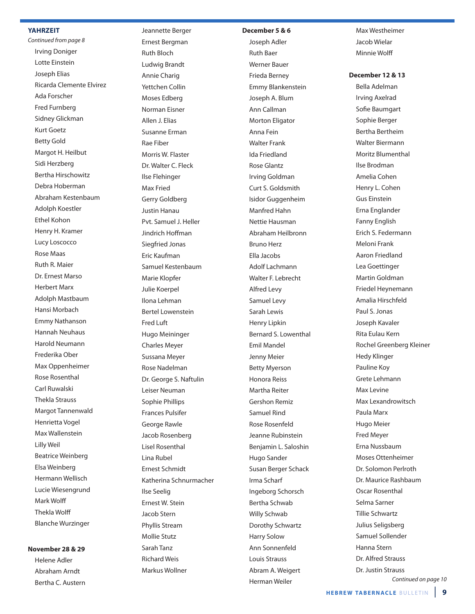#### **YahrzeiT**

Continued from page 8 irving Doniger Lotte Einstein Joseph Elias Ricarda Clemente Elvirez Ada Forscher Fred Furnberg Sidney Glickman Kurt Goetz betty Gold Margot H. Heilbut Sidi herzberg **Bertha Hirschowitz** Debra Hoberman abraham Kestenbaum adolph Koestler Ethel Kohon Henry H. Kramer lucy loscocco Rose Maas Ruth R. Maier Dr. Ernest Marso herbert marx adolph mastbaum Hansi Morbach **Emmy Nathanson** hannah Neuhaus harold Neumann Frederika ober Max Oppenheimer Rose Rosenthal Carl Ruwalski Thekla Strauss Margot Tannenwald henrietta vogel max Wallenstein lilly Weil beatrice Weinberg elsa Weinberg hermann Wellisch lucie Wiesengrund mark Wolff Thekla Wolff blanche Wurzinger

#### **november 28 & 29**

Helene Adler abraham arndt Bertha C. Austern

Jeannette berger Ernest Bergman **Ruth Bloch** ludwig brandt annie charig Yettchen collin Moses Edberg Norman Fisner Allen J. Elias Susanne Erman rae Fiber Morris W. Flaster Dr. Walter c. Fleck ilse Flehinger Max Fried Gerry Goldberg Justin hanau Pvt. Samuel J. heller Jindrich hoffman Siegfried Jonas Eric Kaufman Samuel Kestenbaum Marie Klopfer Julie Koerpel ilona lehman bertel lowenstein Fred luft Hugo Meininger charles meyer Sussana meyer Rose Nadelman Dr. George S. Naftulin leiser Neuman Sophie Phillips Frances Pulsifer George Rawle Jacob Rosenberg Lisel Rosenthal Lina Rubel ernest Schmidt Katherina Schnurmacher ilse Seelig Ernest W. Stein Jacob Stern Phyllis Stream mollie Stutz Sarah Tanz **Richard Weis** 

markus Wollner

#### **December 5 & 6**

Joseph adler **Ruth Baer** Werner bauer Frieda berney Emmy Blankenstein Joseph A. Blum ann callman Morton Eligator anna Fein Walter Frank ida Friedland **Rose Glantz** irving Goldman curt S. Goldsmith isidor Guggenheim manfred hahn Nettie hausman abraham heilbronn Bruno Herz ella Jacobs adolf lachmann Walter F. lebrecht alfred levy Samuel levy Sarah lewis Henry Lipkin bernard S. lowenthal Emil Mandel Jenny Meier **Betty Myerson** Honora Reiss Martha Reiter **Gershon Remiz** Samuel Rind Rose Rosenfeld Jeanne Rubinstein benjamin l. Saloshin hugo Sander Susan berger Schack irma Scharf ingeborg Schorsch bertha Schwab Willy Schwab Dorothy Schwartz harry Solow ann Sonnenfeld louis Strauss Abram A. Weigert herman Weiler

Max Westheimer Jacob Wielar Minnie Wolff

**December 12 & 13**

Bella Adelman Irving Axelrad Sofie baumgart Sophie berger bertha bertheim Walter biermann Moritz Blumenthal ilse brodman amelia cohen henry l. cohen Gus Einstein Erna Englander Fanny English Erich S. Federmann Meloni Frank aaron Friedland lea Goettinger martin Goldman Friedel heynemann amalia hirschfeld Paul S. Jonas Joseph Kavaler Rita Eulau Kern Rochel Greenberg Kleiner hedy Klinger Pauline Koy Grete lehmann Max Levine max lexandrowitsch Paula Marx Hugo Meier Fred meyer Erna Nussbaum moses ottenheimer Dr. Solomon Perlroth Dr. Maurice Rashbaum Oscar Rosenthal Selma Sarner Tillie Schwartz Julius Seligsberg Samuel Sollender hanna Stern Dr. Alfred Strauss Dr. Justin Strauss

Continued on page 10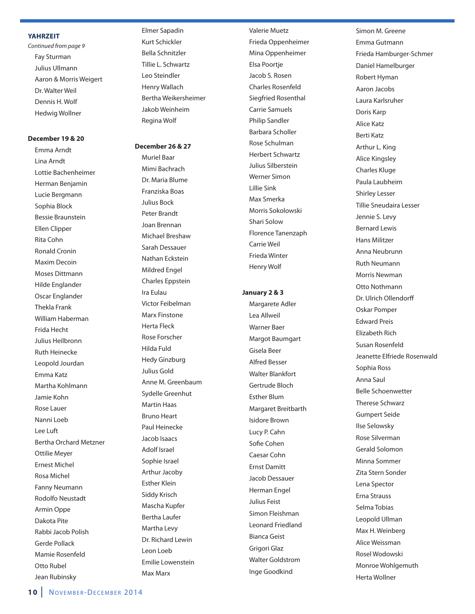#### **YahrzeiT**

Continued from page 9 Fay Sturman Julius Ullmann Aaron & Morris Weigert Dr. Walter Weil Dennis h. Wolf hedwig Wollner

#### **December 19 & 20**

Emma Arndt lina arndt lottie bachenheimer herman benjamin lucie bergmann Sophia block bessie braunstein **Ellen Clipper** Rita Cohn **Ronald Cronin** Maxim Decoin moses Dittmann Hilde Englander Oscar Englander Thekla Frank William Haberman Frida hecht Julius Heilbronn **Ruth Heinecke** leopold Jourdan Emma Katz martha Kohlmann Jamie Kohn Rose Lauer Nanni loeb lee luft bertha orchard metzner ottilie meyer **Ernest Michel** Rosa Michel Fanny Neumann **Rodolfo Neustadt** armin oppe Dakota Pite Rabbi Jacob Polish Gerde Pollack Mamie Rosenfeld Otto Rubel Jean Rubinsky

elmer Sapadin Kurt Schickler bella Schnitzler Tillie l. Schwartz leo Steindler henry Wallach bertha Weikersheimer Jakob Weinheim Regina Wolf

#### **December 26 & 27**

**Muriel Baar** Mimi Bachrach Dr. Maria Blume Franziska boas Julius bock Peter brandt Joan brennan Michael Breshaw Sarah Dessauer Nathan Eckstein Mildred Engel Charles Eppstein Ira Eulau victor Feibelman **Marx Finstone** herta Fleck Rose Forscher hilda Fuld hedy Ginzburg Julius Gold Anne M. Greenbaum Sydelle Greenhut **Martin Haas Bruno Heart** Paul Heinecke Jacob isaacs adolf israel Sophie Israel arthur Jacoby **Esther Klein** Siddy Krisch Mascha Kupfer bertha laufer Martha Levy Dr. Richard Lewin leon loeb Emilie Lowenstein max marx

valerie muetz Frieda oppenheimer Mina Oppenheimer Elsa Poortje Jacob S. Rosen **Charles Rosenfeld** Siegfried Rosenthal carrie Samuels Philip Sandler barbara Scholler Rose Schulman herbert Schwartz Julius Silberstein Werner Simon lillie Sink max Smerka morris Sokolowski Shari Solow Florence Tanenzaph carrie Weil Frieda Winter henry Wolf

#### **January 2 & 3**

Margarete Adler lea allweil Warner baer Margot Baumgart Gisela beer alfred besser Walter Blankfort Gertrude bloch **Esther Blum** Margaret Breitbarth Isidore Brown Lucy P. Cahn Sofie cohen caesar cohn **Frnst Damitt** Jacob Dessauer Herman Engel Julius Feist Simon Fleishman leonard Friedland bianca Geist Grigori Glaz Walter Goldstrom inge Goodkind

Simon M. Greene Emma Gutmann Frieda hamburger-Schmer Daniel hamelburger Robert Hyman aaron Jacobs laura Karlsruher Doris Karp alice Katz berti Katz Arthur L. King alice Kingsley charles Kluge Paula laubheim Shirley lesser Tillie Sneudaira lesser Jennie S. levy bernard lewis hans militzer anna Neubrunn **Ruth Neumann** Morris Newman Otto Nothmann Dr. Ulrich Ollendorff oskar Pomper **Edward Preis Elizabeth Rich** Susan Rosenfeld Jeanette Elfriede Rosenwald Sophia Ross anna Saul belle Schoenwetter Therese Schwarz Gumpert Seide ilse Selowsky Rose Silverman Gerald Solomon Minna Sommer Zita Stern Sonder lena Spector **Erna Strauss** Selma Tobias Leopold Ullman Max H. Weinberg alice Weissman Rosel Wodowski monroe Wohlgemuth herta Wollner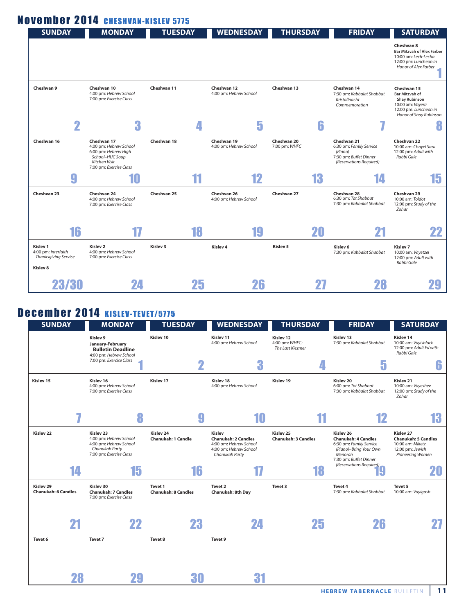## November 2014 CHESHVAN-KISLEV 5775

| <b>SUNDAY</b>                                                              | <b>MONDAY</b>                                                                                                                | <b>TUESDAY</b> | <b>WEDNESDAY</b>                      | <b>THURSDAY</b>              | <b>FRIDAY</b>                                                                                          | <b>SATURDAY</b>                                                                                                                     |
|----------------------------------------------------------------------------|------------------------------------------------------------------------------------------------------------------------------|----------------|---------------------------------------|------------------------------|--------------------------------------------------------------------------------------------------------|-------------------------------------------------------------------------------------------------------------------------------------|
|                                                                            |                                                                                                                              |                |                                       |                              |                                                                                                        | Cheshvan 8<br><b>Bar Mitzvah of Alex Farber</b><br>10:00 am: Lech-Lecha<br>12:00 pm: Luncheon in<br>Honor of Alex Farber            |
| Cheshvan 9                                                                 | Cheshvan 10<br>4:00 pm: Hebrew School<br>7:00 pm: Exercise Class                                                             | Cheshvan 11    | Cheshvan 12<br>4:00 pm: Hebrew School | Cheshvan 13                  | Cheshvan 14<br>7:30 pm: Kabbalat Shabbat<br>Kristallnacht<br>Commemoration                             | Cheshvan 15<br><b>Bar Mitzvah of</b><br><b>Shay Rubinson</b><br>10:00 am: Vayera<br>12:00 pm: Luncheon in<br>Honor of Shay Rubinson |
| $\overline{\mathbf{2}}$                                                    | 3                                                                                                                            | 4              | 5                                     | 6                            | ٠.                                                                                                     | 8                                                                                                                                   |
| Cheshvan 16                                                                | Cheshvan 17<br>4:00 pm: Hebrew School<br>6:00 pm: Hebrew High<br>School-HUC Soup<br>Kitchen Visit<br>7:00 pm: Exercise Class | Cheshvan 18    | Cheshvan 19<br>4:00 pm: Hebrew School | Cheshvan 20<br>7:00 pm: WHFC | Cheshvan 21<br>6:30 pm: Family Service<br>(Piano)<br>7:30 pm: Buffet Dinner<br>(Reservations Required) | Cheshvan 22<br>10:00 am: Chayel Sara<br>12:00 pm: Adult with<br>Rabbi Gale                                                          |
| 9                                                                          | 10                                                                                                                           | 11             | 12                                    | 13                           |                                                                                                        | 15                                                                                                                                  |
| Cheshvan 23                                                                | Cheshvan 24<br>4:00 pm: Hebrew School<br>7:00 pm: Exercise Class                                                             | Cheshvan 25    | Cheshvan 26<br>4:00 pm: Hebrew School | Cheshvan 27                  | Cheshvan 28<br>6:30 pm: Tot Shabbat<br>7:30 pm: Kabbalat Shabbat                                       | Cheshvan 29<br>10:00 am: Toldot<br>12:00 pm: Study of the<br>Zohar                                                                  |
| 16                                                                         | 17                                                                                                                           | 18             | 19                                    | 20                           |                                                                                                        | 22                                                                                                                                  |
| Kislev 1<br>4:00 pm: Interfaith<br><b>Thanksgiving Service</b><br>Kislev 8 | Kislev <sub>2</sub><br>4:00 pm: Hebrew School<br>7:00 pm: Exercise Class                                                     | Kislev 3       | Kislev <sub>4</sub>                   | Kislev 5                     | Kislev 6<br>7:30 pm: Kabbalat Shabbat                                                                  | Kislev <sub>7</sub><br>10:00 am: Vayetzel<br>12:00 pm: Adult with<br>Rabbi Gale                                                     |
| 23/30                                                                      | 24                                                                                                                           | 25             | 26                                    |                              |                                                                                                        |                                                                                                                                     |

## December 2014 KISLEV-TEVET/5775

| <b>SUNDAY</b>                           | <b>MONDAY</b>                                                                                                         | <b>TUESDAY</b>                         | <b>WEDNESDAY</b>                                                                                           | <b>THURSDAY</b>                                    | <b>FRIDAY</b>                                                                                                                                                                  | <b>SATURDAY</b>                                                                                                |
|-----------------------------------------|-----------------------------------------------------------------------------------------------------------------------|----------------------------------------|------------------------------------------------------------------------------------------------------------|----------------------------------------------------|--------------------------------------------------------------------------------------------------------------------------------------------------------------------------------|----------------------------------------------------------------------------------------------------------------|
|                                         | Kislev 9<br>January-February<br><b>Bulletin Deadline</b><br>4:00 pm: Hebrew School                                    | Kislev 10                              | Kislev 11<br>4:00 pm: Hebrew School                                                                        | Kislev 12<br>4:00 pm: WHFC:<br>The Last Kiezmer    | Kislev 13<br>7:30 pm: Kabbalat Shabbat                                                                                                                                         | Kislev 14<br>10:00 am: Vayishlach<br>12:00 pm: Adult Ed with<br>Rabbi Gale                                     |
|                                         | 7:00 pm: Exercise Class                                                                                               | $\overline{\mathbf{2}}$                | 3                                                                                                          | 4                                                  | 5                                                                                                                                                                              | 6                                                                                                              |
| Kislev 15                               | Kislev 16<br>4:00 pm: Hebrew School<br>7:00 pm: Exercise Class                                                        | Kislev 17                              | Kislev 18<br>4:00 pm: Hebrew School                                                                        | Kislev 19                                          | Kislev 20<br>6:00 pm: Tot Shabbat<br>7:30 pm: Kabbalat Shabbat                                                                                                                 | Kislev 21<br>10:00 am: Vayeshev<br>12:00 pm: Study of the<br>Zohar                                             |
|                                         | 8                                                                                                                     | 9                                      | 10                                                                                                         | 11                                                 | 12                                                                                                                                                                             | 13                                                                                                             |
| Kislev <sub>22</sub>                    | Kislev <sub>23</sub><br>4:00 pm: Hebrew School<br>4:00 pm: Hebrew School<br>Chanukah Party<br>7:00 pm: Exercise Class | Kislev 24<br><b>Chanukah: 1 Candle</b> | Kislev<br><b>Chanukah: 2 Candles</b><br>4:00 pm: Hebrew School<br>4:00 pm: Hebrew School<br>Chanukah Party | Kislev <sub>25</sub><br><b>Chanukah: 3 Candles</b> | Kislev 26<br><b>Chanukah: 4 Candles</b><br>6:30 pm: Family Service<br>(Piano)-Bring Your Own<br>Menorah<br>7:30 pm: Buffet Dinner<br>Su pin. bunced<br>(Reservations Required) | Kislev <sub>27</sub><br><b>Chanukah: 5 Candles</b><br>10:00 am: Miketz<br>12:00 pm: Jewish<br>Pioneering Women |
| 14                                      | 15                                                                                                                    | 16                                     | 17                                                                                                         | 18                                                 |                                                                                                                                                                                | 20                                                                                                             |
| Kislev 29<br><b>Chanukah: 6 Candles</b> | Kislev 30<br><b>Chanukah: 7 Candles</b><br>7:00 pm: Exercise Class                                                    | Tevet 1<br><b>Chanukah: 8 Candles</b>  | Tevet 2<br>Chanukah: 8th Day                                                                               | Tevet 3                                            | Tevet 4<br>7:30 pm: Kabbalat Shabbat                                                                                                                                           | Tevet 5<br>10:00 am: Vayigash                                                                                  |
| 21                                      | 22                                                                                                                    | 23                                     | 24                                                                                                         | 25                                                 | 26                                                                                                                                                                             | 27                                                                                                             |
| Tevet <sub>6</sub>                      | Tevet 7                                                                                                               | Tevet 8                                | Tevet 9                                                                                                    |                                                    |                                                                                                                                                                                |                                                                                                                |
| 28                                      | 29                                                                                                                    | 30                                     | 31                                                                                                         |                                                    |                                                                                                                                                                                |                                                                                                                |